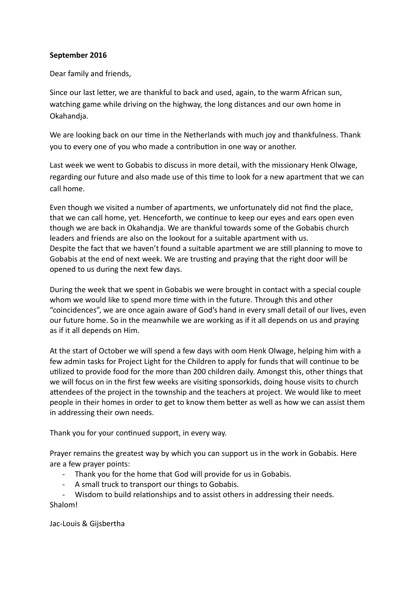## **September 2016**

Dear family and friends,

Since our last leter, we are thankful to back and used, again, to the warm African sun, watching game while driving on the highway, the long distances and our own home in Okahandja.

We are looking back on our time in the Netherlands with much joy and thankfulness. Thank you to every one of you who made a contribution in one way or another.

Last week we went to Gobabis to discuss in more detail, with the missionary Henk Olwage, regarding our future and also made use of this tme to look for a new apartment that we can call home.

Even though we visited a number of apartments, we unfortunately did not fnd the place, that we can call home, yet. Henceforth, we continue to keep our eyes and ears open even though we are back in Okahandja. We are thankful towards some of the Gobabis church leaders and friends are also on the lookout for a suitable apartment with us. Despite the fact that we haven't found a suitable apartment we are still planning to move to Gobabis at the end of next week. We are trusting and praying that the right door will be opened to us during the next few days.

During the week that we spent in Gobabis we were brought in contact with a special couple whom we would like to spend more time with in the future. Through this and other "coincidences", we are once again aware of God's hand in every small detail of our lives, even our future home. So in the meanwhile we are working as if it all depends on us and praying as if it all depends on Him.

At the start of October we will spend a few days with oom Henk Olwage, helping him with a few admin tasks for Project Light for the Children to apply for funds that will continue to be utilized to provide food for the more than 200 children daily. Amongst this, other things that we will focus on in the frst few weeks are visitng sponsorkids, doing house visits to church atendees of the project in the township and the teachers at project. We would like to meet people in their homes in order to get to know them beter as well as how we can assist them in addressing their own needs.

Thank you for your continued support, in every way.

Prayer remains the greatest way by which you can support us in the work in Gobabis. Here are a few prayer points:

- Thank you for the home that God will provide for us in Gobabis.
- A small truck to transport our things to Gobabis.

- Wisdom to build relatonships and to assist others in addressing their needs. Shalom!

Jac-Louis & Gijsbertha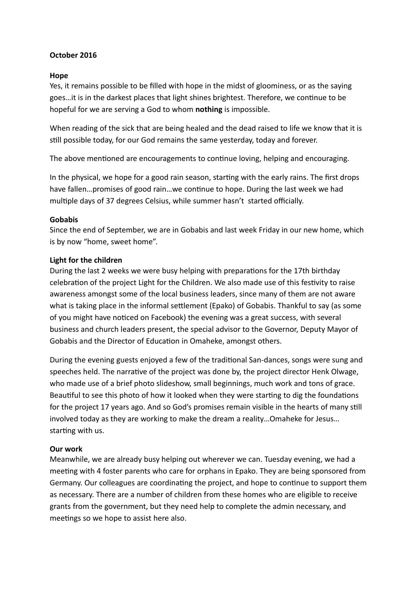## **October 2016**

#### **Hope**

Yes, it remains possible to be flled with hope in the midst of gloominess, or as the saying goes…it is in the darkest places that light shines brightest. Therefore, we contnue to be hopeful for we are serving a God to whom **nothing** is impossible.

When reading of the sick that are being healed and the dead raised to life we know that it is stll possible today, for our God remains the same yesterday, today and forever.

The above mentioned are encouragements to continue loving, helping and encouraging.

In the physical, we hope for a good rain season, starting with the early rains. The first drops have fallen…promises of good rain…we continue to hope. During the last week we had multiple days of 37 degrees Celsius, while summer hasn't started officially.

## **Gobabis**

Since the end of September, we are in Gobabis and last week Friday in our new home, which is by now "home, sweet home".

## **Light for the children**

During the last 2 weeks we were busy helping with preparations for the 17th birthday celebraton of the project Light for the Children. We also made use of this festvity to raise awareness amongst some of the local business leaders, since many of them are not aware what is taking place in the informal settlement (Epako) of Gobabis. Thankful to say (as some of you might have noticed on Facebook) the evening was a great success, with several business and church leaders present, the special advisor to the Governor, Deputy Mayor of Gobabis and the Director of Education in Omaheke, amongst others.

During the evening guests enjoyed a few of the traditonal San-dances, songs were sung and speeches held. The narrative of the project was done by, the project director Henk Olwage, who made use of a brief photo slideshow, small beginnings, much work and tons of grace. Beautiful to see this photo of how it looked when they were starting to dig the foundations for the project 17 years ago. And so God's promises remain visible in the hearts of many stll involved today as they are working to make the dream a reality…Omaheke for Jesus… starting with us.

## **Our work**

Meanwhile, we are already busy helping out wherever we can. Tuesday evening, we had a meeting with 4 foster parents who care for orphans in Epako. They are being sponsored from Germany. Our colleagues are coordinatng the project, and hope to contnue to support them as necessary. There are a number of children from these homes who are eligible to receive grants from the government, but they need help to complete the admin necessary, and meetings so we hope to assist here also.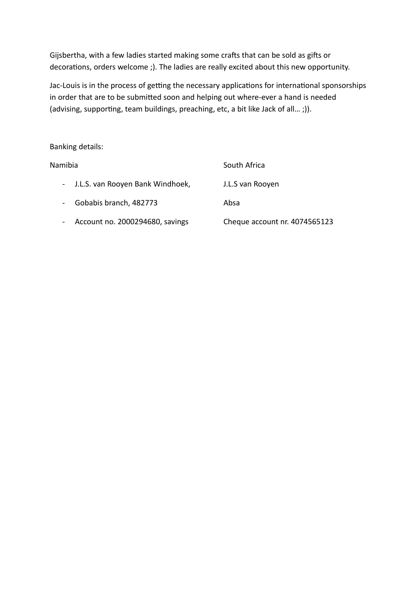Gijsbertha, with a few ladies started making some crafts that can be sold as gifts or decorations, orders welcome ;). The ladies are really excited about this new opportunity.

Jac-Louis is in the process of getting the necessary applications for international sponsorships in order that are to be submited soon and helping out where-ever a hand is needed (advising, supporting, team buildings, preaching, etc, a bit like Jack of all...;)).

## Banking details:

| Namibia                                                | South Africa                  |
|--------------------------------------------------------|-------------------------------|
| - J.L.S. van Rooyen Bank Windhoek,                     | J.L.S van Rooyen              |
| Gobabis branch, 482773<br>$\qquad \qquad \blacksquare$ | Absa                          |
| Account no. 2000294680, savings<br>$\blacksquare$      | Cheque account nr. 4074565123 |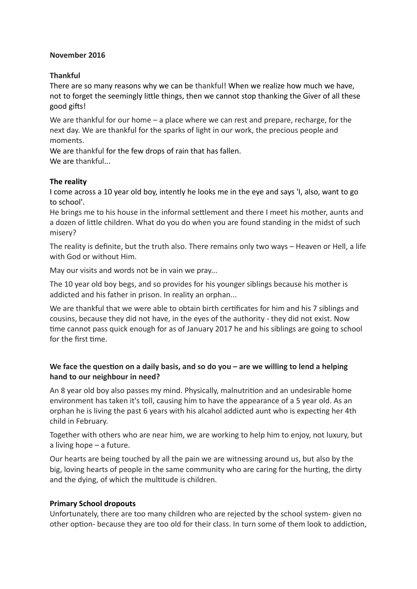## **November 2016**

## **Thankful**

There are so many reasons why we can be thankful! When we realize how much we have, not to forget the seemingly litle things, then we cannot stop thanking the Giver of all these good gifs!

We are thankful for our home – a place where we can rest and prepare, recharge, for the next day. We are thankful for the sparks of light in our work, the precious people and moments.

We are thankful for the few drops of rain that has fallen. We are thankful...

# **The reality**

I come across a 10 year old boy, intently he looks me in the eye and says 'I, also, want to go to school'.

He brings me to his house in the informal setlement and there I meet his mother, aunts and a dozeen of litle children. What do you do when you are found standing in the midst of such misery?

The reality is definite, but the truth also. There remains only two ways - Heaven or Hell, a life with God or without Him.

May our visits and words not be in vain we pray...

The 10 year old boy begs, and so provides for his younger siblings because his mother is addicted and his father in prison. In reality an orphan...

We are thankful that we were able to obtain birth certificates for him and his 7 siblings and cousins, because they did not have, in the eyes of the authority - they did not exist. Now time cannot pass quick enough for as of January 2017 he and his siblings are going to school for the first time.

# We face the question on a daily basis, and so do you – are we willing to lend a helping **hand to our neighbour in need?**

An 8 year old boy also passes my mind. Physically, malnutriton and an undesirable home environment has taken it's toll, causing him to have the appearance of a 5 year old. As an orphan he is living the past 6 years with his alcahol addicted aunt who is expectng her 4th child in February.

Together with others who are near him, we are working to help him to enjoy, not luxury, but a living hope – a future.

Our hearts are being touched by all the pain we are witnessing around us, but also by the big, loving hearts of people in the same community who are caring for the hurting, the dirty and the dying, of which the multitude is children.

# **Primary School dropouts**

Unfortunately, there are too many children who are rejected by the school system- given no other option- because they are too old for their class. In turn some of them look to addiction,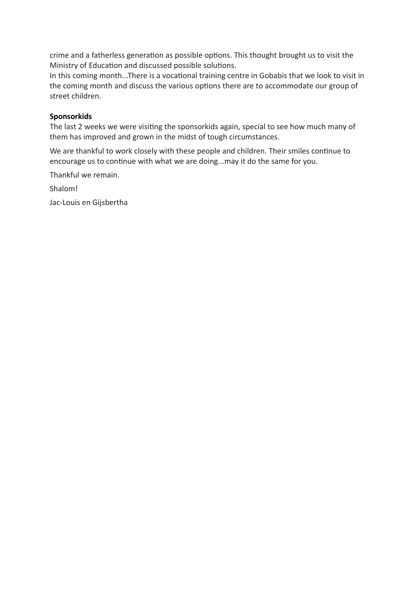crime and a fatherless generation as possible options. This thought brought us to visit the Ministry of Education and discussed possible solutions.

In this coming month...There is a vocational training centre in Gobabis that we look to visit in the coming month and discuss the various options there are to accommodate our group of street children.

## **Sponsorkids**

The last 2 weeks we were visiting the sponsorkids again, special to see how much many of them has improved and grown in the midst of tough circumstances.

We are thankful to work closely with these people and children. Their smiles continue to encourage us to continue with what we are doing...may it do the same for you.

Thankful we remain.

Shalom!

Jac-Louis en Gijsbertha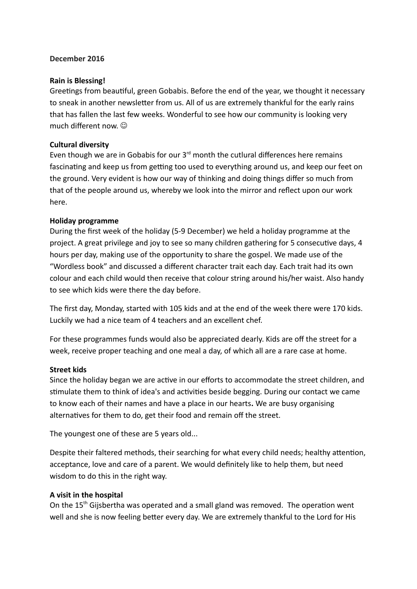## **December 2016**

## **Rain is Blessing!**

Greetngs from beautful, green Gobabis. Before the end of the year, we thought it necessary to sneak in another newsletter from us. All of us are extremely thankful for the early rains that has fallen the last few weeks. Wonderful to see how our community is looking very much different now.

#### **Cultural diversity**

Even though we are in Gobabis for our  $3<sup>rd</sup>$  month the cutlural differences here remains fascinating and keep us from getting too used to everything around us, and keep our feet on the ground. Very evident is how our way of thinking and doing things differ so much from that of the people around us, whereby we look into the mirror and refect upon our work here.

#### **Holiday programme**

During the frst week of the holiday (5-9 December) we held a holiday programme at the project. A great privilege and joy to see so many children gathering for 5 consecutve days, 4 hours per day, making use of the opportunity to share the gospel. We made use of the "Wordless book" and discussed a different character trait each day. Each trait had its own colour and each child would then receive that colour string around his/her waist. Also handy to see which kids were there the day before.

The first day, Monday, started with 105 kids and at the end of the week there were 170 kids. Luckily we had a nice team of 4 teachers and an excellent chef.

For these programmes funds would also be appreciated dearly. Kids are off the street for a week, receive proper teaching and one meal a day, of which all are a rare case at home.

#### **Street kids**

Since the holiday began we are active in our efforts to accommodate the street children, and stmulate them to think of idea's and actvites beside begging. During our contact we came to know each of their names and have a place in our hearts**.** We are busy organising alternatves for them to do, get their food and remain off the street.

The youngest one of these are 5 years old...

Despite their faltered methods, their searching for what every child needs; healthy atenton, acceptance, love and care of a parent. We would defnitely like to help them, but need wisdom to do this in the right way.

#### **A visit in the hospital**

On the  $15<sup>th</sup>$  Gijsbertha was operated and a small gland was removed. The operation went well and she is now feeling better every day. We are extremely thankful to the Lord for His